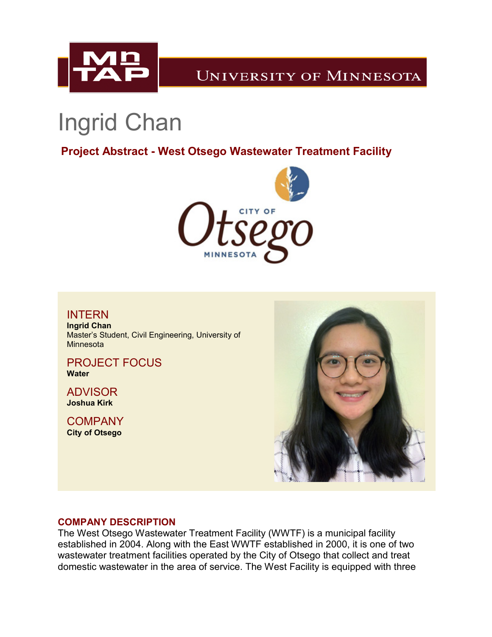

# **UNIVERSITY OF MINNESOTA**

# Ingrid Chan

**Project Abstract - West Otsego Wastewater Treatment Facility**



INTERN **Ingrid Chan** Master's Student, Civil Engineering, University of **Minnesota** 

PROJECT FOCUS **Water**

ADVISOR **Joshua Kirk**

**COMPANY City of Otsego**



## **COMPANY DESCRIPTION**

The West Otsego Wastewater Treatment Facility (WWTF) is a municipal facility established in 2004. Along with the East WWTF established in 2000, it is one of two wastewater treatment facilities operated by the City of Otsego that collect and treat domestic wastewater in the area of service. The West Facility is equipped with three